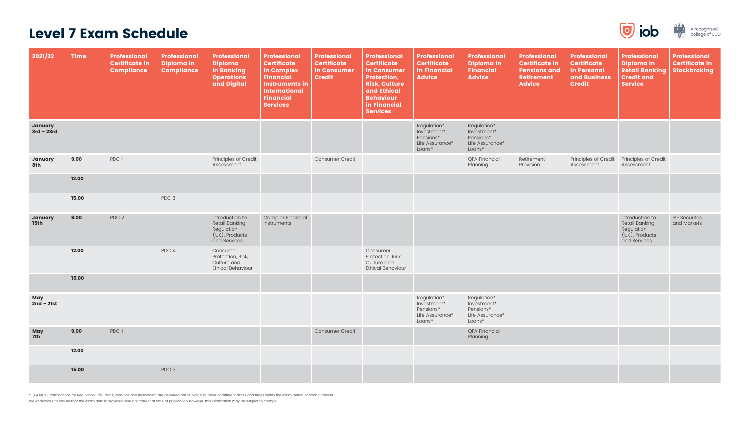| 2021/22                       | <b>Time</b> | <b>Professional</b><br><b>Certificate in</b><br><b>Compliance</b> | <b>Professional</b><br>Diploma in<br><b>Compliance</b> | <b>Professional</b><br><b>Diploma</b><br>in Banking<br><b>Operations</b><br>and Digital     | <b>Professional</b><br><b>Certificate</b><br>in Complex<br><b>Financial</b><br><b>Instruments in</b><br><b>International</b><br><b>Financial</b><br><b>Services</b> | Professional<br><b>Certificate</b><br>in Consumer<br><b>Credit</b> | <b>Professional</b><br><b>Certificate</b><br>in Consumer<br>Protection,<br><b>Risk, Culture</b><br>and Ethical<br><b>Behaviour</b><br>in Financial<br><b>Services</b> | Professional<br><b>Certificate</b><br>in Financial<br><b>Advice</b>  | <b>Professional</b><br>Diploma in<br><b>Financial</b><br><b>Advice</b> | <b>Professional</b><br><b>Certificate in</b><br><b>Pensions and</b><br><b>Retirement</b><br><b>Advice</b> | <b>Professional</b><br><b>Certificate</b><br>in Personal<br>and Business<br><b>Credit</b> | Professional<br>Diploma in<br><b>Retail Banking</b><br><b>Credit and</b><br><b>Service</b>  | <b>Professional</b><br><b>Certificate in</b><br><b>Stockbroking</b> |
|-------------------------------|-------------|-------------------------------------------------------------------|--------------------------------------------------------|---------------------------------------------------------------------------------------------|---------------------------------------------------------------------------------------------------------------------------------------------------------------------|--------------------------------------------------------------------|-----------------------------------------------------------------------------------------------------------------------------------------------------------------------|----------------------------------------------------------------------|------------------------------------------------------------------------|-----------------------------------------------------------------------------------------------------------|-------------------------------------------------------------------------------------------|---------------------------------------------------------------------------------------------|---------------------------------------------------------------------|
| January<br>$3rd - 23rd$       |             |                                                                   |                                                        |                                                                                             |                                                                                                                                                                     |                                                                    |                                                                                                                                                                       | Regulation*<br>Investment*<br>Pensions*<br>Life Assurance*<br>Loans* | Regulation*<br>Investment*<br>Pensions*<br>Life Assurance*<br>Loans*   |                                                                                                           |                                                                                           |                                                                                             |                                                                     |
| January<br>8th                | 9.00        | PDC 1                                                             |                                                        | Principles of Credit<br>Assessment                                                          |                                                                                                                                                                     | Consumer Credit                                                    |                                                                                                                                                                       |                                                                      | <b>QFA Financial</b><br>Planning                                       | Retirement<br>Provision                                                                                   | Principles of Credit<br>Assessment                                                        | Principles of Credit<br>Assessment                                                          |                                                                     |
|                               | 12.00       |                                                                   |                                                        |                                                                                             |                                                                                                                                                                     |                                                                    |                                                                                                                                                                       |                                                                      |                                                                        |                                                                                                           |                                                                                           |                                                                                             |                                                                     |
|                               | 15.00       |                                                                   | PDC 3                                                  |                                                                                             |                                                                                                                                                                     |                                                                    |                                                                                                                                                                       |                                                                      |                                                                        |                                                                                                           |                                                                                           |                                                                                             |                                                                     |
| <b>January</b><br><b>15th</b> | 9.00        | PDC 2                                                             |                                                        | Introduction to<br><b>Retail Banking</b><br>Regulation<br>$(UK)$ , Products<br>and Services | <b>Complex Financial</b><br>Instruments                                                                                                                             |                                                                    |                                                                                                                                                                       |                                                                      |                                                                        |                                                                                                           |                                                                                           | Introduction to<br><b>Retail Banking</b><br>Regulation<br>$(UK)$ , Products<br>and Services | <b>ISE Securites</b><br>and Markets                                 |
|                               | 12.00       |                                                                   | PDC 4                                                  | Consumer<br>Protection, Risk,<br>Culture and<br><b>Ethical Behaviour</b>                    |                                                                                                                                                                     |                                                                    | Consumer<br>Protection, Risk,<br>Culture and<br><b>Ethical Behaviour</b>                                                                                              |                                                                      |                                                                        |                                                                                                           |                                                                                           |                                                                                             |                                                                     |
|                               | 15.00       |                                                                   |                                                        |                                                                                             |                                                                                                                                                                     |                                                                    |                                                                                                                                                                       |                                                                      |                                                                        |                                                                                                           |                                                                                           |                                                                                             |                                                                     |
| May<br>$2nd - 21st$           |             |                                                                   |                                                        |                                                                                             |                                                                                                                                                                     |                                                                    |                                                                                                                                                                       | Regulation*<br>Investment*<br>Pensions*<br>Life Assurance*<br>Loans* | Regulation*<br>Investment*<br>Pensions*<br>Life Assurance*<br>Loans*   |                                                                                                           |                                                                                           |                                                                                             |                                                                     |
| <b>May</b><br>7th             | 9.00        | PDC 1                                                             |                                                        |                                                                                             |                                                                                                                                                                     | Consumer Credit                                                    |                                                                                                                                                                       |                                                                      | <b>QFA Financial</b><br>Planning                                       |                                                                                                           |                                                                                           |                                                                                             |                                                                     |
|                               | 12.00       |                                                                   |                                                        |                                                                                             |                                                                                                                                                                     |                                                                    |                                                                                                                                                                       |                                                                      |                                                                        |                                                                                                           |                                                                                           |                                                                                             |                                                                     |
|                               | 15.00       |                                                                   | PDC 3                                                  |                                                                                             |                                                                                                                                                                     |                                                                    |                                                                                                                                                                       |                                                                      |                                                                        |                                                                                                           |                                                                                           |                                                                                             |                                                                     |

## Level 7 Exam Schedule

\* QFA MCQ Examinations for Regulation, Life, Loans, Pensions and Investment are delivered online over a number of different dates and times within the exam period of each trimester.

We endeavour to ensure that the exam details provided here are correct at time of publication, however, this information may be subject to change.



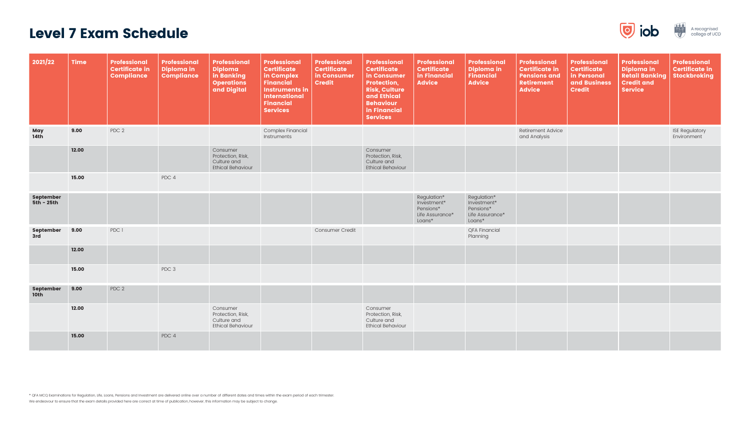#### Level 7 Exam Schedule

| 2021/22                       | <b>Time</b> | <b>Professional</b><br><b>Certificate in</b><br><b>Compliance</b> | <b>Professional</b><br><b>Diploma in</b><br><b>Compliance</b> | <b>Professional</b><br><b>Diploma</b><br>in Banking<br><b>Operations</b><br>and Digital | <b>Professional</b><br><b>Certificate</b><br>in Complex<br><b>Financial</b><br><b>Instruments in</b><br><b>International</b><br><b>Financial</b><br><b>Services</b> | <b>Professional</b><br><b>Certificate</b><br>in Consumer<br><b>Credit</b> | <b>Professional</b><br><b>Certificate</b><br>in Consumer<br><b>Protection,</b><br><b>Risk, Culture</b><br>and Ethical<br><b>Behaviour</b><br>in Financial<br><b>Services</b> | <b>Professional</b><br><b>Certificate</b><br>in Financial<br><b>Advice</b> | <b>Professional</b><br><b>Diploma in</b><br><b>Financial</b><br><b>Advice</b> | <b>Professional</b><br><b>Certificate in</b><br><b>Pensions and</b><br><b>Retirement</b><br><b>Advice</b> | <b>Professional</b><br><b>Certificate</b><br>in Personal<br>and Business<br><b>Credit</b> | <b>Professional</b><br>Diploma in<br><b>Retail Banking</b><br><b>Credit and</b><br><b>Service</b> | <b>Professional</b><br><b>Certificate in</b><br><b>Stockbroking</b> |
|-------------------------------|-------------|-------------------------------------------------------------------|---------------------------------------------------------------|-----------------------------------------------------------------------------------------|---------------------------------------------------------------------------------------------------------------------------------------------------------------------|---------------------------------------------------------------------------|------------------------------------------------------------------------------------------------------------------------------------------------------------------------------|----------------------------------------------------------------------------|-------------------------------------------------------------------------------|-----------------------------------------------------------------------------------------------------------|-------------------------------------------------------------------------------------------|---------------------------------------------------------------------------------------------------|---------------------------------------------------------------------|
| May<br>14th                   | 9.00        | PDC 2                                                             |                                                               |                                                                                         | Complex Financial<br>Instruments                                                                                                                                    |                                                                           |                                                                                                                                                                              |                                                                            |                                                                               | Retirement Advice<br>and Analysis                                                                         |                                                                                           |                                                                                                   | <b>ISE Regulatory</b><br>Environment                                |
|                               | 12.00       |                                                                   |                                                               | Consumer<br>Protection, Risk,<br>Culture and<br><b>Ethical Behaviour</b>                |                                                                                                                                                                     |                                                                           | Consumer<br>Protection, Risk,<br>Culture and<br><b>Ethical Behaviour</b>                                                                                                     |                                                                            |                                                                               |                                                                                                           |                                                                                           |                                                                                                   |                                                                     |
|                               | 15.00       |                                                                   | PDC 4                                                         |                                                                                         |                                                                                                                                                                     |                                                                           |                                                                                                                                                                              |                                                                            |                                                                               |                                                                                                           |                                                                                           |                                                                                                   |                                                                     |
| September<br>5th – 25th       |             |                                                                   |                                                               |                                                                                         |                                                                                                                                                                     |                                                                           |                                                                                                                                                                              | Regulation*<br>Investment*<br>Pensions*<br>Life Assurance*<br>Loans*       | Regulation*<br>Investment*<br>Pensions*<br>Life Assurance*<br>Loans*          |                                                                                                           |                                                                                           |                                                                                                   |                                                                     |
| September<br>3rd              | 9.00        | PDC 1                                                             |                                                               |                                                                                         |                                                                                                                                                                     | <b>Consumer Credit</b>                                                    |                                                                                                                                                                              |                                                                            | <b>QFA Financial</b><br>Planning                                              |                                                                                                           |                                                                                           |                                                                                                   |                                                                     |
|                               | 12.00       |                                                                   |                                                               |                                                                                         |                                                                                                                                                                     |                                                                           |                                                                                                                                                                              |                                                                            |                                                                               |                                                                                                           |                                                                                           |                                                                                                   |                                                                     |
|                               | 15.00       |                                                                   | PDC 3                                                         |                                                                                         |                                                                                                                                                                     |                                                                           |                                                                                                                                                                              |                                                                            |                                                                               |                                                                                                           |                                                                                           |                                                                                                   |                                                                     |
| September<br>10 <sub>th</sub> | 9.00        | PDC 2                                                             |                                                               |                                                                                         |                                                                                                                                                                     |                                                                           |                                                                                                                                                                              |                                                                            |                                                                               |                                                                                                           |                                                                                           |                                                                                                   |                                                                     |
|                               | 12.00       |                                                                   |                                                               | Consumer<br>Protection, Risk,<br>Culture and<br><b>Ethical Behaviour</b>                |                                                                                                                                                                     |                                                                           | Consumer<br>Protection, Risk,<br>Culture and<br><b>Ethical Behaviour</b>                                                                                                     |                                                                            |                                                                               |                                                                                                           |                                                                                           |                                                                                                   |                                                                     |
|                               | 15.00       |                                                                   | PDC 4                                                         |                                                                                         |                                                                                                                                                                     |                                                                           |                                                                                                                                                                              |                                                                            |                                                                               |                                                                                                           |                                                                                           |                                                                                                   |                                                                     |

\* QFA MCQ Examinations for Regulation, Life, Loans, Pensions and Investment are delivered online over a number of different dates and times within the exam period of each trimester. We endeavour to ensure that the exam details provided here are correct at time of publication, however, this information may be subject to change.



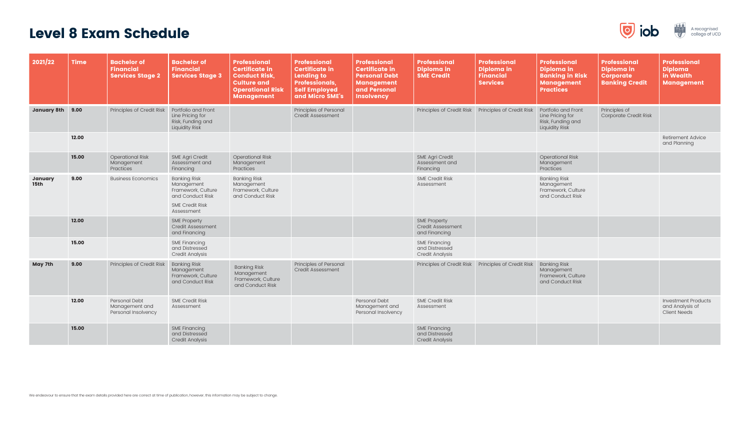## Level 8 Exam Schedule

| 2021/22                       | <b>Time</b> | <b>Bachelor of</b><br><b>Financial</b><br><b>Services Stage 2</b> | <b>Bachelor of</b><br><b>Financial</b><br><b>Services Stage 3</b>                                                   | <b>Professional</b><br><b>Certificate in</b><br><b>Conduct Risk,</b><br><b>Culture and</b><br><b>Operational Risk</b><br><b>Management</b> | <b>Professional</b><br><b>Certificate in</b><br><b>Lending to</b><br><b>Professionals,</b><br><b>Self Employed</b><br>and Micro SME's | <b>Professional</b><br><b>Certificate in</b><br><b>Personal Debt</b><br><b>Management</b><br>and Personal<br><b>Insolvency</b> | <b>Professional</b><br><b>Diploma in</b><br><b>SME Credit</b>    | Professional<br>Diploma in<br><b>Financial</b><br><b>Services</b> | <b>Professional</b><br>Diploma in<br><b>Banking in Risk</b><br><b>Management</b><br><b>Practices</b> | <b>Professional</b><br>Diploma in<br><b>Corporate</b><br><b>Banking Credit</b> | Professional<br><b>Diploma</b><br>in Wealth<br><b>Management</b>     |
|-------------------------------|-------------|-------------------------------------------------------------------|---------------------------------------------------------------------------------------------------------------------|--------------------------------------------------------------------------------------------------------------------------------------------|---------------------------------------------------------------------------------------------------------------------------------------|--------------------------------------------------------------------------------------------------------------------------------|------------------------------------------------------------------|-------------------------------------------------------------------|------------------------------------------------------------------------------------------------------|--------------------------------------------------------------------------------|----------------------------------------------------------------------|
| January 8th 9.00              |             | Principles of Credit Risk                                         | Portfolio and Front<br>Line Pricing for<br>Risk, Funding and<br><b>Liquidity Risk</b>                               |                                                                                                                                            | Principles of Personal<br>Credit Assessment                                                                                           |                                                                                                                                | Principles of Credit Risk                                        | Principles of Credit Risk                                         | Portfolio and Front<br>Line Pricing for<br>Risk, Funding and<br><b>Liquidity Risk</b>                | Principles of<br>Corporate Credit Risk                                         |                                                                      |
|                               | 12.00       |                                                                   |                                                                                                                     |                                                                                                                                            |                                                                                                                                       |                                                                                                                                |                                                                  |                                                                   |                                                                                                      |                                                                                | Retirement Advice<br>and Planning                                    |
|                               | 15.00       | <b>Operational Risk</b><br>Management<br>Practices                | <b>SME Agri Credit</b><br>Assessment and<br>Financing                                                               | <b>Operational Risk</b><br>Management<br>Practices                                                                                         |                                                                                                                                       |                                                                                                                                | <b>SME Agri Credit</b><br>Assessment and<br>Financing            |                                                                   | <b>Operational Risk</b><br>Management<br>Practices                                                   |                                                                                |                                                                      |
| <b>January</b><br><b>15th</b> | 9.00        | <b>Business Economics</b>                                         | <b>Banking Risk</b><br>Management<br>Framework, Culture<br>and Conduct Risk<br><b>SME Credit Risk</b><br>Assessment | <b>Banking Risk</b><br>Management<br>Framework, Culture<br>and Conduct Risk                                                                |                                                                                                                                       |                                                                                                                                | <b>SME Credit Risk</b><br>Assessment                             |                                                                   | <b>Banking Risk</b><br>Management<br>Framework, Culture<br>and Conduct Risk                          |                                                                                |                                                                      |
|                               | 12.00       |                                                                   | <b>SME Property</b><br><b>Credit Assessment</b><br>and Financing                                                    |                                                                                                                                            |                                                                                                                                       |                                                                                                                                | <b>SME Property</b><br>Credit Assessment<br>and Financing        |                                                                   |                                                                                                      |                                                                                |                                                                      |
|                               | 15.00       |                                                                   | <b>SME Financing</b><br>and Distressed<br><b>Credit Analysis</b>                                                    |                                                                                                                                            |                                                                                                                                       |                                                                                                                                | <b>SME Financing</b><br>and Distressed<br><b>Credit Analysis</b> |                                                                   |                                                                                                      |                                                                                |                                                                      |
| May 7th                       | 9.00        | Principles of Credit Risk                                         | <b>Banking Risk</b><br>Management<br>Framework, Culture<br>and Conduct Risk                                         | <b>Banking Risk</b><br>Management<br>Framework, Culture<br>and Conduct Risk                                                                | Principles of Personal<br><b>Credit Assessment</b>                                                                                    |                                                                                                                                | Principles of Credit Risk                                        | Principles of Credit Risk                                         | <b>Banking Risk</b><br>Management<br>Framework, Culture<br>and Conduct Risk                          |                                                                                |                                                                      |
|                               | 12.00       | Personal Debt<br>Management and<br>Personal Insolvency            | <b>SME Credit Risk</b><br>Assessment                                                                                |                                                                                                                                            |                                                                                                                                       | Personal Debt<br>Management and<br>Personal Insolvency                                                                         | <b>SME Credit Risk</b><br>Assessment                             |                                                                   |                                                                                                      |                                                                                | <b>Investment Products</b><br>and Analysis of<br><b>Client Needs</b> |
|                               | 15.00       |                                                                   | <b>SME Financing</b><br>and Distressed<br><b>Credit Analysis</b>                                                    |                                                                                                                                            |                                                                                                                                       |                                                                                                                                | <b>SME Financing</b><br>and Distressed<br><b>Credit Analysis</b> |                                                                   |                                                                                                      |                                                                                |                                                                      |



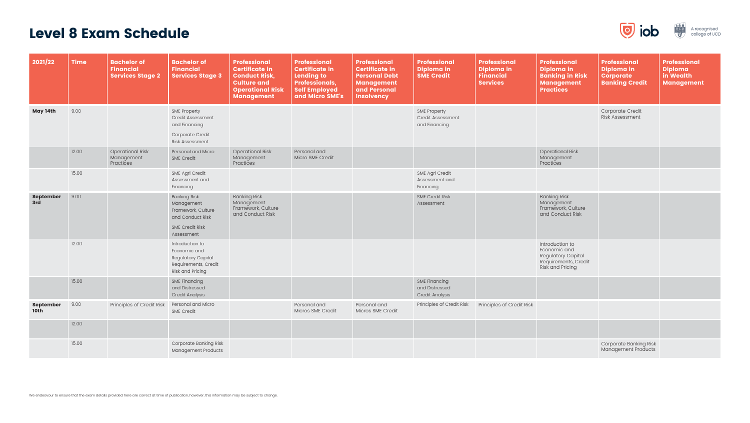## Level 8 Exam Schedule

| 2021/22                         | <b>Time</b> | <b>Bachelor of</b><br><b>Financial</b><br><b>Services Stage 2</b> | <b>Bachelor of</b><br><b>Financial</b><br><b>Services Stage 3</b>                                                   | <b>Professional</b><br><b>Certificate in</b><br><b>Conduct Risk,</b><br><b>Culture and</b><br><b>Operational Risk</b><br><b>Management</b> | <b>Professional</b><br><b>Certificate in</b><br><b>Lending to</b><br><b>Professionals,</b><br><b>Self Employed</b><br>and Micro SME's | <b>Professional</b><br><b>Certificate in</b><br><b>Personal Debt</b><br><b>Management</b><br>and Personal<br><b>Insolvency</b> | Professional<br>Diploma in<br><b>SME Credit</b>                  | <b>Professional</b><br>Diploma in<br><b>Financial</b><br><b>Services</b> | <b>Professional</b><br>Diploma in<br><b>Banking in Risk</b><br><b>Management</b><br><b>Practices</b>            | <b>Professional</b><br>Diploma in<br><b>Corporate</b><br><b>Banking Credit</b> | <b>Professional</b><br><b>Diploma</b><br>in Wealth<br><b>Management</b> |
|---------------------------------|-------------|-------------------------------------------------------------------|---------------------------------------------------------------------------------------------------------------------|--------------------------------------------------------------------------------------------------------------------------------------------|---------------------------------------------------------------------------------------------------------------------------------------|--------------------------------------------------------------------------------------------------------------------------------|------------------------------------------------------------------|--------------------------------------------------------------------------|-----------------------------------------------------------------------------------------------------------------|--------------------------------------------------------------------------------|-------------------------------------------------------------------------|
| May 14th                        | 9.00        |                                                                   | <b>SME Property</b><br><b>Credit Assessment</b><br>and Financing<br>Corporate Credit<br>Risk Assessment             |                                                                                                                                            |                                                                                                                                       |                                                                                                                                | <b>SME Property</b><br><b>Credit Assessment</b><br>and Financing |                                                                          |                                                                                                                 | Corporate Credit<br>Risk Assessment                                            |                                                                         |
|                                 | 12.00       | <b>Operational Risk</b><br>Management<br>Practices                | Personal and Micro<br><b>SME Credit</b>                                                                             | <b>Operational Risk</b><br>Management<br>Practices                                                                                         | Personal and<br>Micro SME Credit                                                                                                      |                                                                                                                                |                                                                  |                                                                          | <b>Operational Risk</b><br>Management<br>Practices                                                              |                                                                                |                                                                         |
|                                 | 15.00       |                                                                   | <b>SME Agri Credit</b><br>Assessment and<br>Financing                                                               |                                                                                                                                            |                                                                                                                                       |                                                                                                                                | <b>SME Agri Credit</b><br>Assessment and<br>Financing            |                                                                          |                                                                                                                 |                                                                                |                                                                         |
| <b>September</b><br>3rd         | 9.00        |                                                                   | <b>Banking Risk</b><br>Management<br>Framework, Culture<br>and Conduct Risk<br><b>SME Credit Risk</b><br>Assessment | <b>Banking Risk</b><br>Management<br>Framework, Culture<br>and Conduct Risk                                                                |                                                                                                                                       |                                                                                                                                | <b>SME Credit Risk</b><br>Assessment                             |                                                                          | <b>Banking Risk</b><br>Management<br>Framework, Culture<br>and Conduct Risk                                     |                                                                                |                                                                         |
|                                 | 12.00       |                                                                   | Introduction to<br>Economic and<br><b>Regulatory Capital</b><br>Requirements, Credit<br><b>Risk and Pricing</b>     |                                                                                                                                            |                                                                                                                                       |                                                                                                                                |                                                                  |                                                                          | Introduction to<br>Economic and<br><b>Regulatory Capital</b><br>Requirements, Credit<br><b>Risk and Pricing</b> |                                                                                |                                                                         |
|                                 | 15.00       |                                                                   | <b>SME Financing</b><br>and Distressed<br><b>Credit Analysis</b>                                                    |                                                                                                                                            |                                                                                                                                       |                                                                                                                                | <b>SME Financing</b><br>and Distressed<br><b>Credit Analysis</b> |                                                                          |                                                                                                                 |                                                                                |                                                                         |
| <b>September</b><br><b>10th</b> | 9.00        | Principles of Credit Risk   Personal and Micro                    | <b>SME Credit</b>                                                                                                   |                                                                                                                                            | Personal and<br>Micros SME Credit                                                                                                     | Personal and<br>Micros SME Credit                                                                                              | Principles of Credit Risk                                        | Principles of Credit Risk                                                |                                                                                                                 |                                                                                |                                                                         |
|                                 | 12.00       |                                                                   |                                                                                                                     |                                                                                                                                            |                                                                                                                                       |                                                                                                                                |                                                                  |                                                                          |                                                                                                                 |                                                                                |                                                                         |
|                                 | 15.00       |                                                                   | <b>Corporate Banking Risk</b><br>Management Products                                                                |                                                                                                                                            |                                                                                                                                       |                                                                                                                                |                                                                  |                                                                          |                                                                                                                 | <b>Corporate Banking Risk</b><br>Management Products                           |                                                                         |



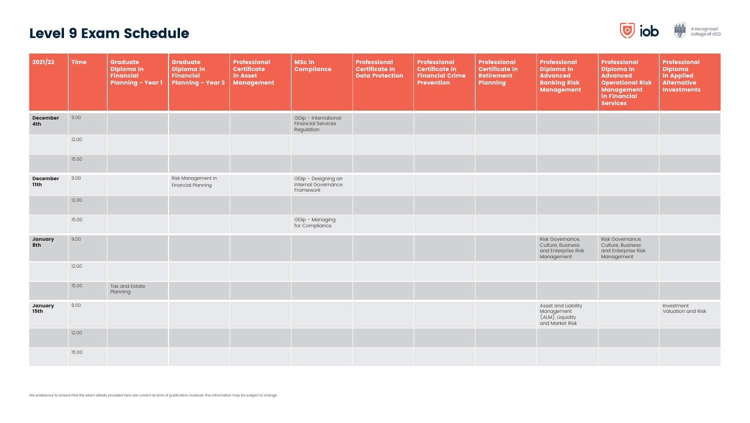## Level 9 Exam Schedule

| 2021/22                        | <b>Time</b> | Graduate<br>Diploma in<br><b>Financial</b><br><b>Planning - Year 1</b> | <b>Graduate</b><br>Diploma in<br><b>Financial</b><br><b>Planning - Year 2</b> | Professional<br>Certificate<br>in Asset<br>Management | <b>MSc in</b><br>Compliance                                     | <b>Professional</b><br><b>Certificate in</b><br><b>Data Protection</b> | <b>Professional</b><br><b>Certificate in</b><br><b>Financial Crime</b><br><b>Prevention</b> | <b>Professional</b><br><b>Certificate in</b><br><b>Retirement</b><br><b>Planning</b> | <b>Professional</b><br><b>Diploma in</b><br><b>Advanced</b><br><b>Banking Risk</b><br>Management | <b>Professional</b><br>Diploma in<br><b>Advanced</b><br><b>Operational Risk</b><br><b>Management</b><br>in Financial<br><b>Services</b> | <b>Professional</b><br><b>Diploma</b><br>in Applied<br><b>Alternative</b><br><b>Investments</b> |
|--------------------------------|-------------|------------------------------------------------------------------------|-------------------------------------------------------------------------------|-------------------------------------------------------|-----------------------------------------------------------------|------------------------------------------------------------------------|---------------------------------------------------------------------------------------------|--------------------------------------------------------------------------------------|--------------------------------------------------------------------------------------------------|-----------------------------------------------------------------------------------------------------------------------------------------|-------------------------------------------------------------------------------------------------|
| <b>December</b><br>4th         | 9.00        |                                                                        |                                                                               |                                                       | GDip - International<br><b>Financial Services</b><br>Regulation |                                                                        |                                                                                             |                                                                                      |                                                                                                  |                                                                                                                                         |                                                                                                 |
|                                | 12.00       |                                                                        |                                                                               |                                                       |                                                                 |                                                                        |                                                                                             |                                                                                      |                                                                                                  |                                                                                                                                         |                                                                                                 |
|                                | 15.00       |                                                                        |                                                                               |                                                       |                                                                 |                                                                        |                                                                                             |                                                                                      |                                                                                                  |                                                                                                                                         |                                                                                                 |
| <b>December</b><br><b>11th</b> | 9.00        |                                                                        | Risk Management in<br><b>Financial Planning</b>                               |                                                       | GDip - Designing an<br>Internal Governance<br>Framework         |                                                                        |                                                                                             |                                                                                      |                                                                                                  |                                                                                                                                         |                                                                                                 |
|                                | 12.00       |                                                                        |                                                                               |                                                       |                                                                 |                                                                        |                                                                                             |                                                                                      |                                                                                                  |                                                                                                                                         |                                                                                                 |
|                                | 15.00       |                                                                        |                                                                               |                                                       | GDip - Managing<br>for Compliance                               |                                                                        |                                                                                             |                                                                                      |                                                                                                  |                                                                                                                                         |                                                                                                 |
| January<br>8th                 | 9.00        |                                                                        |                                                                               |                                                       |                                                                 |                                                                        |                                                                                             |                                                                                      | Risk Governance,<br>Culture, Business<br>and Enterprise Risk<br>Management                       | Risk Governance,<br>Culture, Business<br>and Enterprise Risk<br>Management                                                              |                                                                                                 |
|                                | 12.00       |                                                                        |                                                                               |                                                       |                                                                 |                                                                        |                                                                                             |                                                                                      |                                                                                                  |                                                                                                                                         |                                                                                                 |
|                                | 15.00       | Tax and Estate<br>Planning                                             |                                                                               |                                                       |                                                                 |                                                                        |                                                                                             |                                                                                      |                                                                                                  |                                                                                                                                         |                                                                                                 |
| January<br><b>15th</b>         | 9.00        |                                                                        |                                                                               |                                                       |                                                                 |                                                                        |                                                                                             |                                                                                      | Asset and Liability<br>Management<br>(ALM), Liquidity<br>and Market Risk                         |                                                                                                                                         | Investment<br>Valuation and Risk                                                                |
|                                | 12.00       |                                                                        |                                                                               |                                                       |                                                                 |                                                                        |                                                                                             |                                                                                      |                                                                                                  |                                                                                                                                         |                                                                                                 |
|                                | 15.00       |                                                                        |                                                                               |                                                       |                                                                 |                                                                        |                                                                                             |                                                                                      |                                                                                                  |                                                                                                                                         |                                                                                                 |